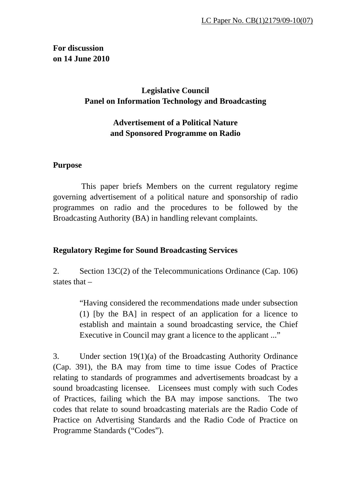## **For discussion on 14 June 2010**

# **Legislative Council Panel on Information Technology and Broadcasting**

# **Advertisement of a Political Nature and Sponsored Programme on Radio**

#### **Purpose**

 This paper briefs Members on the current regulatory regime governing advertisement of a political nature and sponsorship of radio programmes on radio and the procedures to be followed by the Broadcasting Authority (BA) in handling relevant complaints.

## **Regulatory Regime for Sound Broadcasting Services**

2. Section 13C(2) of the Telecommunications Ordinance (Cap. 106) states that –

> "Having considered the recommendations made under subsection (1) [by the BA] in respect of an application for a licence to establish and maintain a sound broadcasting service, the Chief Executive in Council may grant a licence to the applicant ..."

3. Under section 19(1)(a) of the Broadcasting Authority Ordinance (Cap. 391), the BA may from time to time issue Codes of Practice relating to standards of programmes and advertisements broadcast by a sound broadcasting licensee. Licensees must comply with such Codes of Practices, failing which the BA may impose sanctions. The two codes that relate to sound broadcasting materials are the Radio Code of Practice on Advertising Standards and the Radio Code of Practice on Programme Standards ("Codes").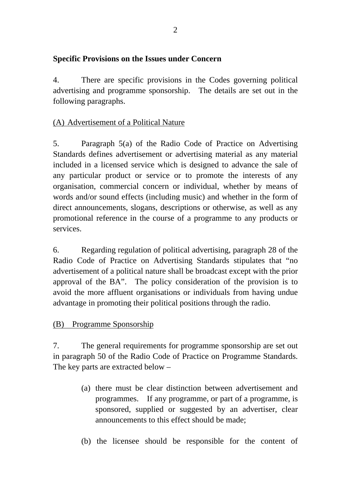## **Specific Provisions on the Issues under Concern**

4. There are specific provisions in the Codes governing political advertising and programme sponsorship. The details are set out in the following paragraphs.

## (A) Advertisement of a Political Nature

5. Paragraph 5(a) of the Radio Code of Practice on Advertising Standards defines advertisement or advertising material as any material included in a licensed service which is designed to advance the sale of any particular product or service or to promote the interests of any organisation, commercial concern or individual, whether by means of words and/or sound effects (including music) and whether in the form of direct announcements, slogans, descriptions or otherwise, as well as any promotional reference in the course of a programme to any products or services.

6. Regarding regulation of political advertising, paragraph 28 of the Radio Code of Practice on Advertising Standards stipulates that "no advertisement of a political nature shall be broadcast except with the prior approval of the BA". The policy consideration of the provision is to avoid the more affluent organisations or individuals from having undue advantage in promoting their political positions through the radio.

## (B) Programme Sponsorship

7. The general requirements for programme sponsorship are set out in paragraph 50 of the Radio Code of Practice on Programme Standards. The key parts are extracted below –

- (a) there must be clear distinction between advertisement and programmes. If any programme, or part of a programme, is sponsored, supplied or suggested by an advertiser, clear announcements to this effect should be made;
- (b) the licensee should be responsible for the content of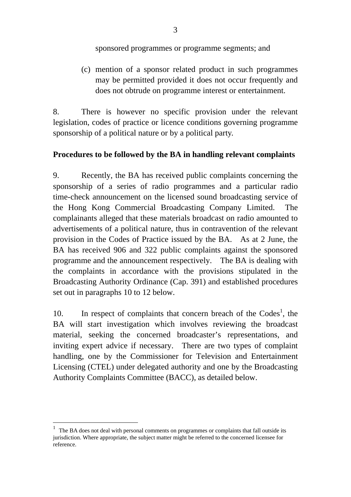sponsored programmes or programme segments; and

(c) mention of a sponsor related product in such programmes may be permitted provided it does not occur frequently and does not obtrude on programme interest or entertainment.

8. There is however no specific provision under the relevant legislation, codes of practice or licence conditions governing programme sponsorship of a political nature or by a political party.

#### **Procedures to be followed by the BA in handling relevant complaints**

9. Recently, the BA has received public complaints concerning the sponsorship of a series of radio programmes and a particular radio time-check announcement on the licensed sound broadcasting service of the Hong Kong Commercial Broadcasting Company Limited. The complainants alleged that these materials broadcast on radio amounted to advertisements of a political nature, thus in contravention of the relevant provision in the Codes of Practice issued by the BA. As at 2 June, the BA has received 906 and 322 public complaints against the sponsored programme and the announcement respectively. The BA is dealing with the complaints in accordance with the provisions stipulated in the Broadcasting Authority Ordinance (Cap. 391) and established procedures set out in paragraphs 10 to 12 below.

10. In respect of complaints that concern breach of the  $\text{Codes}^1$ , the BA will start investigation which involves reviewing the broadcast material, seeking the concerned broadcaster's representations, and inviting expert advice if necessary. There are two types of complaint handling, one by the Commissioner for Television and Entertainment Licensing (CTEL) under delegated authority and one by the Broadcasting Authority Complaints Committee (BACC), as detailed below.

1

 $1$  The BA does not deal with personal comments on programmes or complaints that fall outside its jurisdiction. Where appropriate, the subject matter might be referred to the concerned licensee for reference.